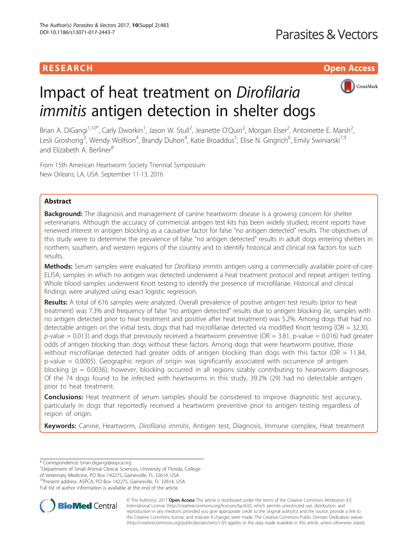# RESEARCH **RESEARCH CONSUMING THE CONSUMING THE CONSUMING THE CONSUMING TENS**



# Impact of heat treatment on Dirofilaria immitis antigen detection in shelter dogs

Brian A. DiGangi<sup>1,10\*</sup>, Carly Dworkin<sup>1</sup>, Jason W. Stull<sup>2</sup>, Jeanette O'Quin<sup>2</sup>, Morgan Elser<sup>2</sup>, Antoinette E. Marsh<sup>2</sup> , Lesli Groshong<sup>3</sup>, Wendy Wolfson<sup>4</sup>, Brandy Duhon<sup>4</sup>, Katie Broaddus<sup>5</sup>, Elise N. Gingrich<sup>6</sup>, Emily Swiniarski<sup>7,9</sup> and Elizabeth A. Berliner<sup>8</sup>

From 15th American Heartworm Society Triennial Symposium New Orleans, LA, USA. September 11-13, 2016

## Abstract

**Background:** The diagnosis and management of canine heartworm disease is a growing concern for shelter veterinarians. Although the accuracy of commercial antigen test kits has been widely studied, recent reports have renewed interest in antigen blocking as a causative factor for false "no antigen detected" results. The objectives of this study were to determine the prevalence of false "no antigen detected" results in adult dogs entering shelters in northern, southern, and western regions of the country and to identify historical and clinical risk factors for such results.

Methods: Serum samples were evaluated for *Dirofilaria immitis* antigen using a commercially available point-of-care ELISA; samples in which no antigen was detected underwent a heat treatment protocol and repeat antigen testing. Whole blood samples underwent Knott testing to identify the presence of microfilariae. Historical and clinical findings were analyzed using exact logistic regression.

Results: A total of 616 samples were analyzed. Overall prevalence of positive antigen test results (prior to heat treatment) was 7.3% and frequency of false "no antigen detected" results due to antigen blocking (ie, samples with no antigen detected prior to heat treatment and positive after heat treatment) was 5.2%. Among dogs that had no detectable antigen on the initial tests, dogs that had microfilariae detected via modified Knott testing (OR = 32.30,  $p$ -value = 0.013) and dogs that previously received a heartworm preventive (OR = 3.81, p-value = 0.016) had greater odds of antigen blocking than dogs without these factors. Among dogs that were heartworm positive, those without microfilariae detected had greater odds of antigen blocking than dogs with this factor (OR = 11.84, p-value = 0.0005). Geographic region of origin was significantly associated with occurrence of antigen blocking ( $p = 0.0036$ ); however, blocking occurred in all regions sizably contributing to heartworm diagnoses. Of the 74 dogs found to be infected with heartworms in this study, 39.2% (29) had no detectable antigen prior to heat treatment.

**Conclusions:** Heat treatment of serum samples should be considered to improve diagnostic test accuracy, particularly in dogs that reportedly received a heartworm preventive prior to antigen testing regardless of region of origin.

Keywords: Canine, Heartworm, Dirofilaria immitis, Antigen test, Diagnosis, Immune complex, Heat treatment

\* Correspondence: [brian.digangi@aspca.org](mailto:brian.digangi@aspca.org) <sup>1</sup>

<sup>1</sup>Department of Small Animal Clinical Sciences, University of Florida, College

of Veterinary Medicine, PO Box 142275, Gainesville, FL 32614, USA

<sup>10</sup>Present address: ASPCA, PO Box 142275, Gainesville, FL 32614, USA

Full list of author information is available at the end of the article



© The Author(s). 2017 **Open Access** This article is distributed under the terms of the Creative Commons Attribution 4.0 International License [\(http://creativecommons.org/licenses/by/4.0/](http://creativecommons.org/licenses/by/4.0/)), which permits unrestricted use, distribution, and reproduction in any medium, provided you give appropriate credit to the original author(s) and the source, provide a link to the Creative Commons license, and indicate if changes were made. The Creative Commons Public Domain Dedication waiver [\(http://creativecommons.org/publicdomain/zero/1.0/](http://creativecommons.org/publicdomain/zero/1.0/)) applies to the data made available in this article, unless otherwise stated.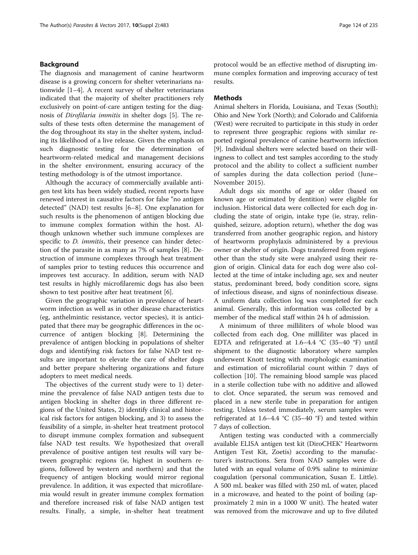## Background

The diagnosis and management of canine heartworm disease is a growing concern for shelter veterinarians nationwide [\[1](#page-5-0)–[4\]](#page-5-0). A recent survey of shelter veterinarians indicated that the majority of shelter practitioners rely exclusively on point-of-care antigen testing for the diagnosis of Dirofilaria immitis in shelter dogs [[5\]](#page-5-0). The results of these tests often determine the management of the dog throughout its stay in the shelter system, including its likelihood of a live release. Given the emphasis on such diagnostic testing for the determination of heartworm-related medical and management decisions in the shelter environment, ensuring accuracy of the testing methodology is of the utmost importance.

Although the accuracy of commercially available antigen test kits has been widely studied, recent reports have renewed interest in causative factors for false "no antigen detected" (NAD) test results [[6](#page-5-0)–[8\]](#page-5-0). One explanation for such results is the phenomenon of antigen blocking due to immune complex formation within the host. Although unknown whether such immune complexes are specific to *D. immitis*, their presence can hinder detection of the parasite in as many as 7% of samples [\[8\]](#page-5-0). Destruction of immune complexes through heat treatment of samples prior to testing reduces this occurrence and improves test accuracy. In addition, serum with NAD test results in highly microfilaremic dogs has also been shown to test positive after heat treatment [[6\]](#page-5-0).

Given the geographic variation in prevalence of heartworm infection as well as in other disease characteristics (eg, anthelmintic resistance, vector species), it is anticipated that there may be geographic differences in the occurrence of antigen blocking [\[8\]](#page-5-0). Determining the prevalence of antigen blocking in populations of shelter dogs and identifying risk factors for false NAD test results are important to elevate the care of shelter dogs and better prepare sheltering organizations and future adopters to meet medical needs.

The objectives of the current study were to 1) determine the prevalence of false NAD antigen tests due to antigen blocking in shelter dogs in three different regions of the United States, 2) identify clinical and historical risk factors for antigen blocking, and 3) to assess the feasibility of a simple, in-shelter heat treatment protocol to disrupt immune complex formation and subsequent false NAD test results. We hypothesized that overall prevalence of positive antigen test results will vary between geographic regions (ie, highest in southern regions, followed by western and northern) and that the frequency of antigen blocking would mirror regional prevalence. In addition, it was expected that microfilaremia would result in greater immune complex formation and therefore increased risk of false NAD antigen test results. Finally, a simple, in-shelter heat treatment protocol would be an effective method of disrupting immune complex formation and improving accuracy of test results.

## **Methods**

Animal shelters in Florida, Louisiana, and Texas (South); Ohio and New York (North); and Colorado and California (West) were recruited to participate in this study in order to represent three geographic regions with similar reported regional prevalence of canine heartworm infection [[9\]](#page-5-0). Individual shelters were selected based on their willingness to collect and test samples according to the study protocol and the ability to collect a sufficient number of samples during the data collection period (June– November 2015).

Adult dogs six months of age or older (based on known age or estimated by dentition) were eligible for inclusion. Historical data were collected for each dog including the state of origin, intake type (ie, stray, relinquished, seizure, adoption return), whether the dog was transferred from another geographic region, and history of heartworm prophylaxis administered by a previous owner or shelter of origin. Dogs transferred from regions other than the study site were analyzed using their region of origin. Clinical data for each dog were also collected at the time of intake including age, sex and neuter status, predominant breed, body condition score, signs of infectious disease, and signs of noninfectious disease. A uniform data collection log was completed for each animal. Generally, this information was collected by a member of the medical staff within 24 h of admission.

A minimum of three milliliters of whole blood was collected from each dog. One milliliter was placed in EDTA and refrigerated at 1.6–4.4 °C (35–40 °F) until shipment to the diagnostic laboratory where samples underwent Knott testing with morphologic examination and estimation of microfilarial count within 7 days of collection [\[10](#page-5-0)]. The remaining blood sample was placed in a sterile collection tube with no additive and allowed to clot. Once separated, the serum was removed and placed in a new sterile tube in preparation for antigen testing. Unless tested immediately, serum samples were refrigerated at 1.6–4.4 °C (35–40 °F) and tested within 7 days of collection.

Antigen testing was conducted with a commercially available ELISA antigen test kit (DiroCHEK® Heartworm Antigen Test Kit, Zoetis) according to the manufacturer's instructions. Sera from NAD samples were diluted with an equal volume of 0.9% saline to minimize coagulation (personal communication, Susan E. Little). A 500 mL beaker was filled with 250 mL of water, placed in a microwave, and heated to the point of boiling (approximately 2 min in a 1000 W unit). The heated water was removed from the microwave and up to five diluted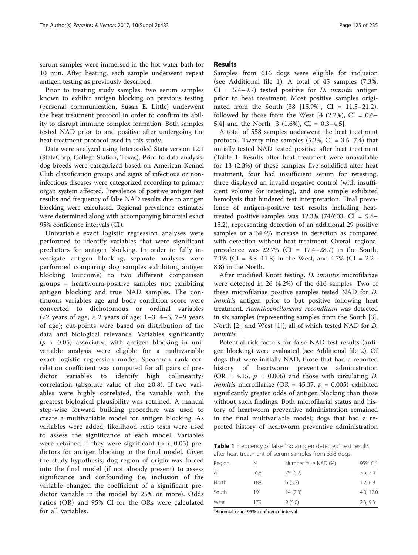serum samples were immersed in the hot water bath for 10 min. After heating, each sample underwent repeat antigen testing as previously described.

Prior to treating study samples, two serum samples known to exhibit antigen blocking on previous testing (personal communication, Susan E. Little) underwent the heat treatment protocol in order to confirm its ability to disrupt immune complex formation. Both samples tested NAD prior to and positive after undergoing the heat treatment protocol used in this study.

Data were analyzed using Intercooled Stata version 12.1 (StataCorp, College Station, Texas). Prior to data analysis, dog breeds were categorized based on American Kennel Club classification groups and signs of infectious or noninfectious diseases were categorized according to primary organ system affected. Prevalence of positive antigen test results and frequency of false NAD results due to antigen blocking were calculated. Regional prevalence estimates were determined along with accompanying binomial exact 95% confidence intervals (CI).

Univariable exact logistic regression analyses were performed to identify variables that were significant predictors for antigen blocking. In order to fully investigate antigen blocking, separate analyses were performed comparing dog samples exhibiting antigen blocking (outcome) to two different comparison groups – heartworm-positive samples not exhibiting antigen blocking and true NAD samples. The continuous variables age and body condition score were converted to dichotomous or ordinal variables (<2 years of age,  $\geq$  2 years of age; 1–3, 4–6, 7–9 years of age); cut-points were based on distribution of the data and biological relevance. Variables significantly  $(p < 0.05)$  associated with antigen blocking in univariable analysis were eligible for a multivariable exact logistic regression model. Spearman rank correlation coefficient was computed for all pairs of predictor variables to identify high collinearity/ correlation (absolute value of rho  $\geq 0.8$ ). If two variables were highly correlated, the variable with the greatest biological plausibility was retained. A manual step-wise forward building procedure was used to create a multivariable model for antigen blocking. As variables were added, likelihood ratio tests were used to assess the significance of each model. Variables were retained if they were significant ( $p < 0.05$ ) predictors for antigen blocking in the final model. Given the study hypothesis, dog region of origin was forced into the final model (if not already present) to assess significance and confounding (ie, inclusion of the variable changed the coefficient of a significant predictor variable in the model by 25% or more). Odds ratios (OR) and 95% CI for the ORs were calculated for all variables.

## Results

Samples from 616 dogs were eligible for inclusion (see Additional file [1\)](#page-4-0). A total of 45 samples (7.3%,  $CI = 5.4-9.7$ ) tested positive for *D. immitis* antigen prior to heat treatment. Most positive samples originated from the South (38 [15.9%], CI = 11.5–21.2), followed by those from the West  $[4 (2.2%), CI = 0.6-$ 5.4] and the North [3 (1.6%), CI = 0.3–4.5].

A total of 558 samples underwent the heat treatment protocol. Twenty-nine samples  $(5.2\% , CI = 3.5-7.4)$  that initially tested NAD tested positive after heat treatment (Table 1. Results after heat treatment were unavailable for 13 (2.3%) of these samples; five solidified after heat treatment, four had insufficient serum for retesting, three displayed an invalid negative control (with insufficient volume for retesting), and one sample exhibited hemolysis that hindered test interpretation. Final prevalence of antigen-positive test results including heattreated positive samples was  $12.3\%$  (74/603, CI = 9.8– 15.2), representing detection of an additional 29 positive samples or a 64.4% increase in detection as compared with detection without heat treatment. Overall regional prevalence was  $22.7\%$  (CI = 17.4–28.7) in the South, 7.1% (CI = 3.8–11.8) in the West, and 4.7% (CI = 2.2– 8.8) in the North.

After modified Knott testing, D. immitis microfilariae were detected in 26 (4.2%) of the 616 samples. Two of these microfilariae positive samples tested NAD for D. immitis antigen prior to but positive following heat treatment. Acanthocheilonema reconditum was detected in six samples (representing samples from the South [\[3](#page-5-0)], North [[2\]](#page-5-0), and West [[1\]](#page-5-0)), all of which tested NAD for D. immitis.

Potential risk factors for false NAD test results (antigen blocking) were evaluated (see Additional file [2](#page-4-0)). Of dogs that were initially NAD, those that had a reported history of heartworm preventive administration (OR = 4.15,  $p = 0.006$ ) and those with circulating D. *immitis* microfilariae (OR = 45.37,  $p = 0.005$ ) exhibited significantly greater odds of antigen blocking than those without such findings. Both microfilarial status and history of heartworm preventive administration remained in the final multivariable model; dogs that had a reported history of heartworm preventive administration

Table 1 Frequency of false "no antigen detected" test results after heat treatment of serum samples from 558 dogs

| Region | N   | Number false NAD (%) | 95% Cl <sup>a</sup> |
|--------|-----|----------------------|---------------------|
| All    | 558 | 29(5.2)              | 3.5, 7.4            |
| North  | 188 | 6(3.2)               | 1.2, 6.8            |
| South  | 191 | 14(7.3)              | 4.0, 12.0           |
| West   | 179 | 9(5.0)               | 2.3, 9.3            |

a Binomial exact 95% confidence interval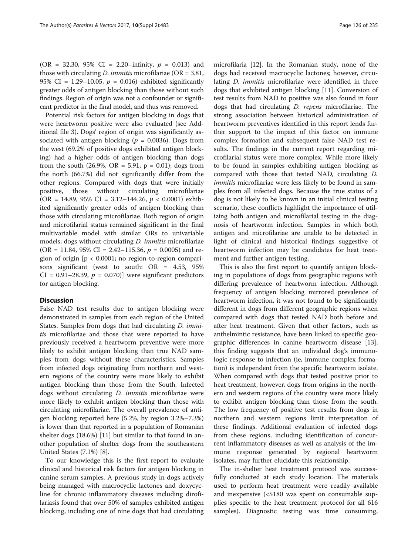(OR = 32.30, 95% CI = 2.20–infinity,  $p = 0.013$ ) and those with circulating *D. immitis* microfilariae ( $OR = 3.81$ , 95% CI = 1.29-10.05,  $p = 0.016$ ) exhibited significantly greater odds of antigen blocking than those without such findings. Region of origin was not a confounder or significant predictor in the final model, and thus was removed.

Potential risk factors for antigen blocking in dogs that were heartworm positive were also evaluated (see Additional file [3](#page-4-0)). Dogs' region of origin was significantly associated with antigen blocking ( $p = 0.0036$ ). Dogs from the west (69.2% of positive dogs exhibited antigen blocking) had a higher odds of antigen blocking than dogs from the south (26.9%, OR = 5.91,  $p = 0.01$ ); dogs from the north (66.7%) did not significantly differ from the other regions. Compared with dogs that were initially positive, those without circulating microfilariae  $(OR = 14.89, 95\% \text{ CI} = 3.12 - 144.26, p < 0.0001) \text{ exhibit}$ ited significantly greater odds of antigen blocking than those with circulating microfilariae. Both region of origin and microfilarial status remained significant in the final multivariable model with similar ORs to univariable models; dogs without circulating D. immitis microfilariae  $(OR = 11.84, 95\% CI = 2.42 - 115.36, p = 0.0005)$  and region of origin  $[p < 0.0001;$  no region-to-region comparisons significant (west to south: OR = 4.53, 95% CI =  $0.91-28.39$ ,  $p = 0.070$ ] were significant predictors for antigen blocking.

## **Discussion**

False NAD test results due to antigen blocking were demonstrated in samples from each region of the United States. Samples from dogs that had circulating D. immitis microfilariae and those that were reported to have previously received a heartworm preventive were more likely to exhibit antigen blocking than true NAD samples from dogs without these characteristics. Samples from infected dogs originating from northern and western regions of the country were more likely to exhibit antigen blocking than those from the South. Infected dogs without circulating *D. immitis* microfilariae were more likely to exhibit antigen blocking than those with circulating microfilariae. The overall prevalence of antigen blocking reported here (5.2%, by region 3.2%–7.3%) is lower than that reported in a population of Romanian shelter dogs (18.6%) [\[11\]](#page-5-0) but similar to that found in another population of shelter dogs from the southeastern United States (7.1%) [[8\]](#page-5-0).

To our knowledge this is the first report to evaluate clinical and historical risk factors for antigen blocking in canine serum samples. A previous study in dogs actively being managed with macrocyclic lactones and doxycycline for chronic inflammatory diseases including dirofilariasis found that over 50% of samples exhibited antigen blocking, including one of nine dogs that had circulating

microfilaria [[12\]](#page-5-0). In the Romanian study, none of the dogs had received macrocyclic lactones; however, circulating D. immitis microfilariae were identified in three dogs that exhibited antigen blocking [\[11\]](#page-5-0). Conversion of test results from NAD to positive was also found in four dogs that had circulating D. repens microfilariae. The strong association between historical administration of heartworm preventives identified in this report lends further support to the impact of this factor on immune complex formation and subsequent false NAD test re-

sults. The findings in the current report regarding microfilarial status were more complex. While more likely to be found in samples exhibiting antigen blocking as compared with those that tested NAD, circulating D. immitis microfilariae were less likely to be found in samples from all infected dogs. Because the true status of a dog is not likely to be known in an initial clinical testing scenario, these conflicts highlight the importance of utilizing both antigen and microfilarial testing in the diagnosis of heartworm infection. Samples in which both antigen and microfilariae are unable to be detected in light of clinical and historical findings suggestive of heartworm infection may be candidates for heat treatment and further antigen testing.

This is also the first report to quantify antigen blocking in populations of dogs from geographic regions with differing prevalence of heartworm infection. Although frequency of antigen blocking mirrored prevalence of heartworm infection, it was not found to be significantly different in dogs from different geographic regions when compared with dogs that tested NAD both before and after heat treatment. Given that other factors, such as anthelmintic resistance, have been linked to specific geographic differences in canine heartworm disease [\[13](#page-5-0)], this finding suggests that an individual dog's immunologic response to infection (ie, immune complex formation) is independent from the specific heartworm isolate. When compared with dogs that tested positive prior to heat treatment, however, dogs from origins in the northern and western regions of the country were more likely to exhibit antigen blocking than those from the south. The low frequency of positive test results from dogs in northern and western regions limit interpretation of these findings. Additional evaluation of infected dogs from these regions, including identification of concurrent inflammatory diseases as well as analysis of the immune response generated by regional heartworm isolates, may further elucidate this relationship.

The in-shelter heat treatment protocol was successfully conducted at each study location. The materials used to perform heat treatment were readily available and inexpensive (<\$180 was spent on consumable supplies specific to the heat treatment protocol for all 616 samples). Diagnostic testing was time consuming,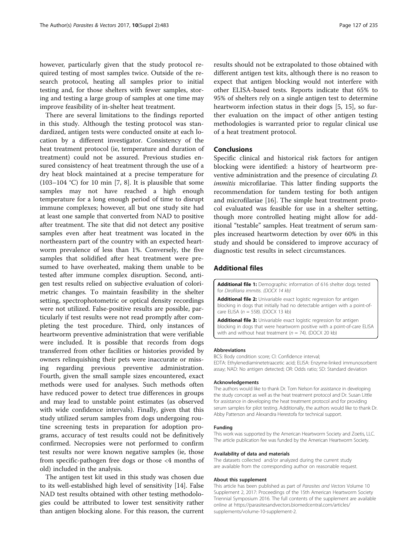<span id="page-4-0"></span>however, particularly given that the study protocol required testing of most samples twice. Outside of the research protocol, heating all samples prior to initial testing and, for those shelters with fewer samples, storing and testing a large group of samples at one time may improve feasibility of in-shelter heat treatment.

There are several limitations to the findings reported in this study. Although the testing protocol was standardized, antigen tests were conducted onsite at each location by a different investigator. Consistency of the heat treatment protocol (ie, temperature and duration of treatment) could not be assured. Previous studies ensured consistency of heat treatment through the use of a dry heat block maintained at a precise temperature for  $(103-104 \text{ °C})$  for 10 min [\[7, 8\]](#page-5-0). It is plausible that some samples may not have reached a high enough temperature for a long enough period of time to disrupt immune complexes; however, all but one study site had at least one sample that converted from NAD to positive after treatment. The site that did not detect any positive samples even after heat treatment was located in the northeastern part of the country with an expected heartworm prevalence of less than 1%. Conversely, the five samples that solidified after heat treatment were presumed to have overheated, making them unable to be tested after immune complex disruption. Second, antigen test results relied on subjective evaluation of colorimetric changes. To maintain feasibility in the shelter setting, spectrophotometric or optical density recordings were not utilized. False-positive results are possible, particularly if test results were not read promptly after completing the test procedure. Third, only instances of heartworm preventive administration that were verifiable were included. It is possible that records from dogs transferred from other facilities or histories provided by owners relinquishing their pets were inaccurate or missing regarding previous preventive administration. Fourth, given the small sample sizes encountered, exact methods were used for analyses. Such methods often have reduced power to detect true differences in groups and may lead to unstable point estimates (as observed with wide confidence intervals). Finally, given that this study utilized serum samples from dogs undergoing routine screening tests in preparation for adoption programs, accuracy of test results could not be definitively confirmed. Necropsies were not performed to confirm test results nor were known negative samples (ie, those from specific-pathogen free dogs or those <4 months of old) included in the analysis.

The antigen test kit used in this study was chosen due to its well-established high level of sensitivity [[14\]](#page-5-0). False NAD test results obtained with other testing methodologies could be attributed to lower test sensitivity rather than antigen blocking alone. For this reason, the current

results should not be extrapolated to those obtained with different antigen test kits, although there is no reason to expect that antigen blocking would not interfere with other ELISA-based tests. Reports indicate that 65% to 95% of shelters rely on a single antigen test to determine heartworm infection status in their dogs [[5, 15\]](#page-5-0), so further evaluation on the impact of other antigen testing methodologies is warranted prior to regular clinical use of a heat treatment protocol.

## Conclusions

Specific clinical and historical risk factors for antigen blocking were identified: a history of heartworm preventive administration and the presence of circulating D. immitis microfilariae. This latter finding supports the recommendation for tandem testing for both antigen and microfilariae [[16\]](#page-5-0). The simple heat treatment protocol evaluated was feasible for use in a shelter setting, though more controlled heating might allow for additional "testable" samples. Heat treatment of serum samples increased heartworm detection by over 60% in this study and should be considered to improve accuracy of diagnostic test results in select circumstances.

## Additional files

[Additional file 1:](dx.doi.org/10.1186/s13071-017-2443-7) Demographic information of 616 shelter dogs tested for Dirofilaria immitis. (DOCX 14 kb)

[Additional file 2:](dx.doi.org/10.1186/s13071-017-2443-7) Univariable exact logistic regression for antigen blocking in dogs that initially had no detectable antigen with a point-ofcare ELISA ( $n = 558$ ). (DOCX 13 kb)

[Additional file 3:](dx.doi.org/10.1186/s13071-017-2443-7) Univariable exact logistic regression for antigen blocking in dogs that were heartworm positive with a point-of-care ELISA with and without heat treatment ( $n = 74$ ). (DOCX 20 kb)

#### Abbreviations

BCS: Body condition score; CI: Confidence interval; EDTA: Ethylenediaminetetraacetic acid; ELISA: Enzyme-linked immunosorbent assay; NAD: No antigen detected; OR: Odds ratio; SD: Standard deviation

#### Acknowledgements

The authors would like to thank Dr. Tom Nelson for assistance in developing the study concept as well as the heat treatment protocol and Dr. Susan Little for assistance in developing the heat treatment protocol and for providing serum samples for pilot testing. Additionally, the authors would like to thank Dr. Abby Patterson and Alexandra Herestofa for technical support.

#### Funding

This work was supported by the American Heartworm Society and Zoetis, LLC. The article publication fee was funded by the American Heartworm Society.

#### Availability of data and materials

The datasets collected and/or analyzed during the current study are available from the corresponding author on reasonable request.

#### About this supplement

This article has been published as part of Parasites and Vectors Volume 10 Supplement 2, 2017: Proceedings of the 15th American Heartworm Society Triennial Symposium 2016. The full contents of the supplement are available online at [https://parasitesandvectors.biomedcentral.com/articles/](https://parasitesandvectors.biomedcentral.com/articles/supplements/volume-10-supplement-2) [supplements/volume-10-supplement-2.](https://parasitesandvectors.biomedcentral.com/articles/supplements/volume-10-supplement-2)